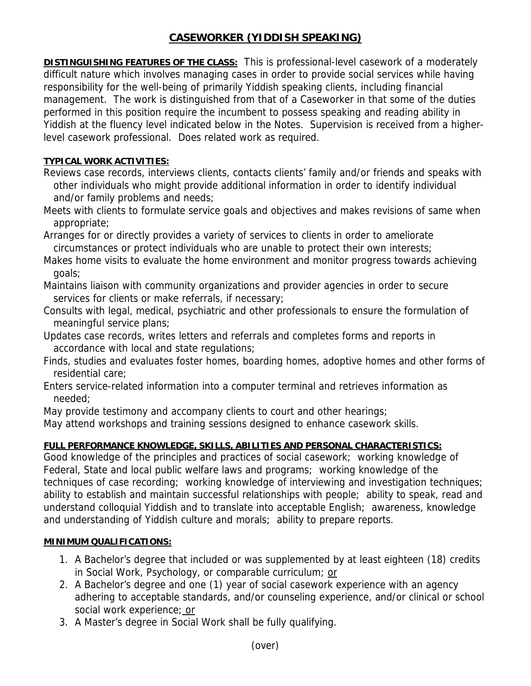# **CASEWORKER (YIDDISH SPEAKING)**

**DISTINGUISHING FEATURES OF THE CLASS:** This is professional-level casework of a moderately difficult nature which involves managing cases in order to provide social services while having responsibility for the well-being of primarily Yiddish speaking clients, including financial management. The work is distinguished from that of a Caseworker in that some of the duties performed in this position require the incumbent to possess speaking and reading ability in Yiddish at the fluency level indicated below in the Notes. Supervision is received from a higherlevel casework professional. Does related work as required.

## **TYPICAL WORK ACTIVITIES:**

- Reviews case records, interviews clients, contacts clients' family and/or friends and speaks with other individuals who might provide additional information in order to identify individual and/or family problems and needs;
- Meets with clients to formulate service goals and objectives and makes revisions of same when appropriate;
- Arranges for or directly provides a variety of services to clients in order to ameliorate circumstances or protect individuals who are unable to protect their own interests;
- Makes home visits to evaluate the home environment and monitor progress towards achieving goals;
- Maintains liaison with community organizations and provider agencies in order to secure services for clients or make referrals, if necessary;
- Consults with legal, medical, psychiatric and other professionals to ensure the formulation of meaningful service plans;
- Updates case records, writes letters and referrals and completes forms and reports in accordance with local and state regulations;
- Finds, studies and evaluates foster homes, boarding homes, adoptive homes and other forms of residential care;
- Enters service-related information into a computer terminal and retrieves information as needed;
- May provide testimony and accompany clients to court and other hearings;
- May attend workshops and training sessions designed to enhance casework skills.

## **FULL PERFORMANCE KNOWLEDGE, SKILLS, ABILITIES AND PERSONAL CHARACTERISTICS:**

Good knowledge of the principles and practices of social casework; working knowledge of Federal, State and local public welfare laws and programs; working knowledge of the techniques of case recording; working knowledge of interviewing and investigation techniques; ability to establish and maintain successful relationships with people; ability to speak, read and understand colloquial Yiddish and to translate into acceptable English; awareness, knowledge and understanding of Yiddish culture and morals; ability to prepare reports.

### **MINIMUM QUALIFICATIONS:**

- 1. A Bachelor's degree that included or was supplemented by at least eighteen (18) credits in Social Work, Psychology, or comparable curriculum; or
- 2. A Bachelor's degree and one (1) year of social casework experience with an agency adhering to acceptable standards, and/or counseling experience, and/or clinical or school social work experience; or
- 3. A Master's degree in Social Work shall be fully qualifying.